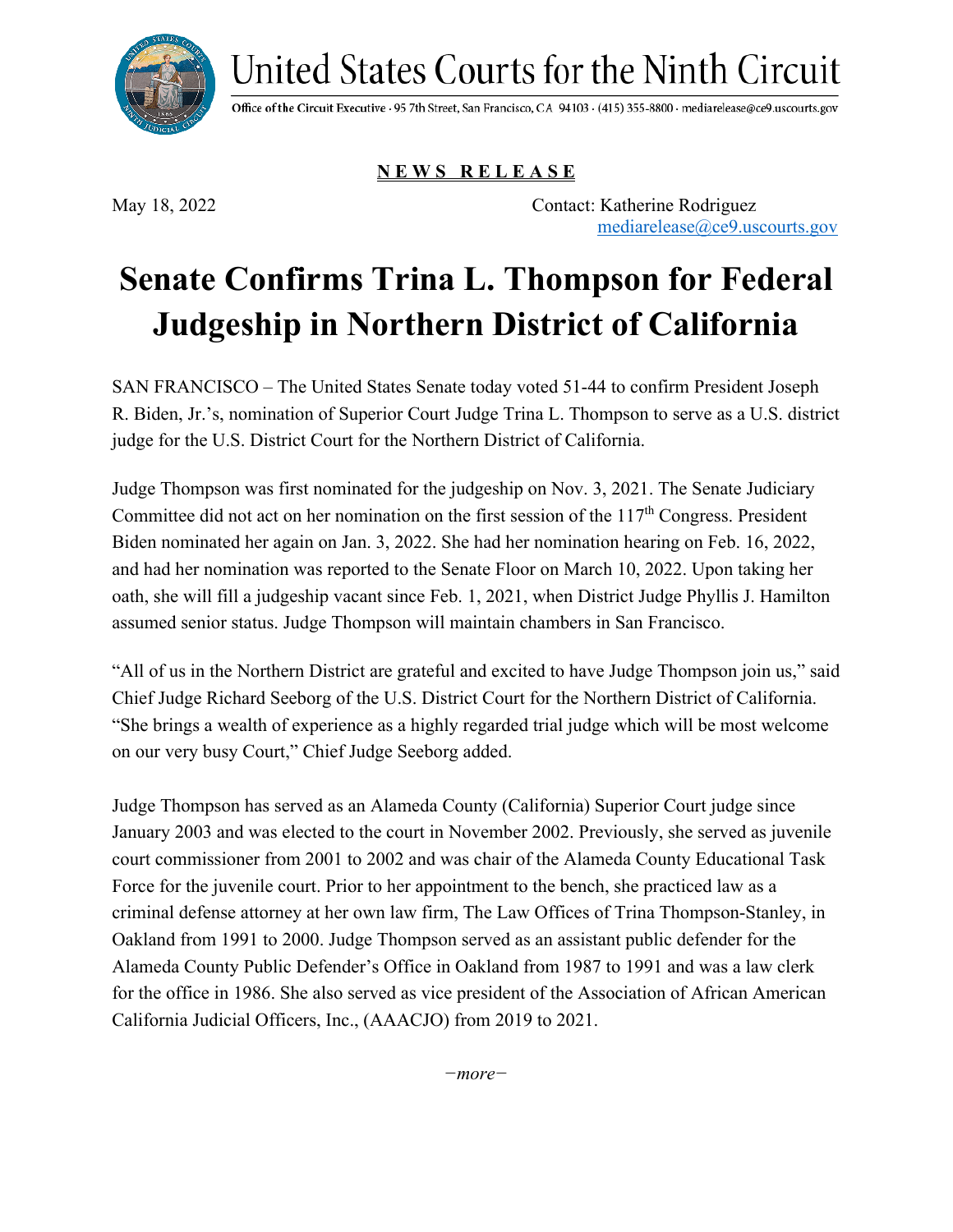United States Courts for the Ninth Circuit



Office of the Circuit Executive · 95 7th Street, San Francisco, CA 94103 · (415) 355-8800 · mediarelease@ce9.uscourts.gov

**N E W S R E L E A S E**

May 18, 2022 Contact: Katherine Rodriguez [mediarelease@ce9.uscourts.gov](mailto:mediarelease@ce9.uscourts.gov)

## **Senate Confirms Trina L. Thompson for Federal Judgeship in Northern District of California**

SAN FRANCISCO – The United States Senate today voted 51-44 to confirm President Joseph R. Biden, Jr.'s, nomination of Superior Court Judge Trina L. Thompson to serve as a U.S. district judge for the U.S. District Court for the Northern District of California.

Judge Thompson was first nominated for the judgeship on Nov. 3, 2021. The Senate Judiciary Committee did not act on her nomination on the first session of the  $117<sup>th</sup>$  Congress. President Biden nominated her again on Jan. 3, 2022. She had her nomination hearing on Feb. 16, 2022, and had her nomination was reported to the Senate Floor on March 10, 2022. Upon taking her oath, she will fill a judgeship vacant since Feb. 1, 2021, when District Judge Phyllis J. Hamilton assumed senior status. Judge Thompson will maintain chambers in San Francisco.

"All of us in the Northern District are grateful and excited to have Judge Thompson join us," said Chief Judge Richard Seeborg of the U.S. District Court for the Northern District of California. "She brings a wealth of experience as a highly regarded trial judge which will be most welcome on our very busy Court," Chief Judge Seeborg added.

Judge Thompson has served as an Alameda County (California) Superior Court judge since January 2003 and was elected to the court in November 2002. Previously, she served as juvenile court commissioner from 2001 to 2002 and was chair of the Alameda County Educational Task Force for the juvenile court. Prior to her appointment to the bench, she practiced law as a criminal defense attorney at her own law firm, The Law Offices of Trina Thompson-Stanley, in Oakland from 1991 to 2000. Judge Thompson served as an assistant public defender for the Alameda County Public Defender's Office in Oakland from 1987 to 1991 and was a law clerk for the office in 1986. She also served as vice president of the Association of African American California Judicial Officers, Inc., (AAACJO) from 2019 to 2021.

*−more−*